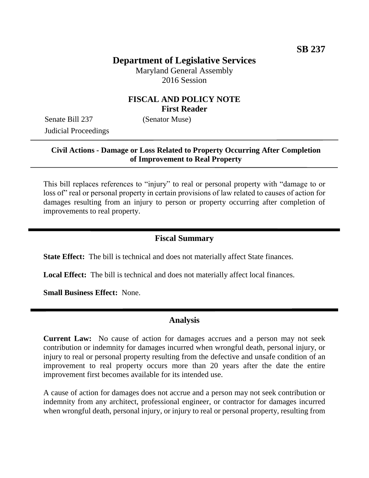# **Department of Legislative Services**

Maryland General Assembly 2016 Session

### **FISCAL AND POLICY NOTE First Reader**

Senate Bill 237 (Senator Muse) Judicial Proceedings

#### **Civil Actions - Damage or Loss Related to Property Occurring After Completion of Improvement to Real Property**

This bill replaces references to "injury" to real or personal property with "damage to or loss of" real or personal property in certain provisions of law related to causes of action for damages resulting from an injury to person or property occurring after completion of improvements to real property.

### **Fiscal Summary**

**State Effect:** The bill is technical and does not materially affect State finances.

**Local Effect:** The bill is technical and does not materially affect local finances.

**Small Business Effect:** None.

#### **Analysis**

**Current Law:** No cause of action for damages accrues and a person may not seek contribution or indemnity for damages incurred when wrongful death, personal injury, or injury to real or personal property resulting from the defective and unsafe condition of an improvement to real property occurs more than 20 years after the date the entire improvement first becomes available for its intended use.

A cause of action for damages does not accrue and a person may not seek contribution or indemnity from any architect, professional engineer, or contractor for damages incurred when wrongful death, personal injury, or injury to real or personal property, resulting from